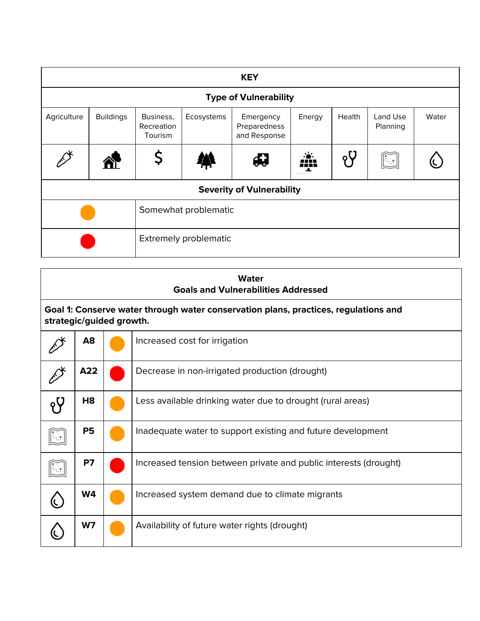|             | <b>KEY</b>       |                                    |            |                                           |        |        |                      |       |
|-------------|------------------|------------------------------------|------------|-------------------------------------------|--------|--------|----------------------|-------|
|             |                  |                                    |            | <b>Type of Vulnerability</b>              |        |        |                      |       |
| Agriculture | <b>Buildings</b> | Business,<br>Recreation<br>Tourism | Ecosystems | Emergency<br>Preparedness<br>and Response | Energy | Health | Land Use<br>Planning | Water |
|             | 谷                |                                    |            |                                           | m      |        | $\ \cdot\ _2$        |       |
|             |                  |                                    |            | <b>Severity of Vulnerability</b>          |        |        |                      |       |
|             |                  | Somewhat problematic               |            |                                           |        |        |                      |       |
|             |                  | Extremely problematic              |            |                                           |        |        |                      |       |

| <b>Water</b><br><b>Goals and Vulnerabilities Addressed</b>                                                      |  |                                                                  |  |  |  |
|-----------------------------------------------------------------------------------------------------------------|--|------------------------------------------------------------------|--|--|--|
| Goal 1: Conserve water through water conservation plans, practices, regulations and<br>strategic/guided growth. |  |                                                                  |  |  |  |
| A <sub>8</sub>                                                                                                  |  | Increased cost for irrigation                                    |  |  |  |
| A22                                                                                                             |  | Decrease in non-irrigated production (drought)                   |  |  |  |
| H <sub>8</sub>                                                                                                  |  | Less available drinking water due to drought (rural areas)       |  |  |  |
| <b>P5</b>                                                                                                       |  | Inadequate water to support existing and future development      |  |  |  |
| <b>P7</b>                                                                                                       |  | Increased tension between private and public interests (drought) |  |  |  |
| <b>W4</b>                                                                                                       |  | Increased system demand due to climate migrants                  |  |  |  |
| W7                                                                                                              |  | Availability of future water rights (drought)                    |  |  |  |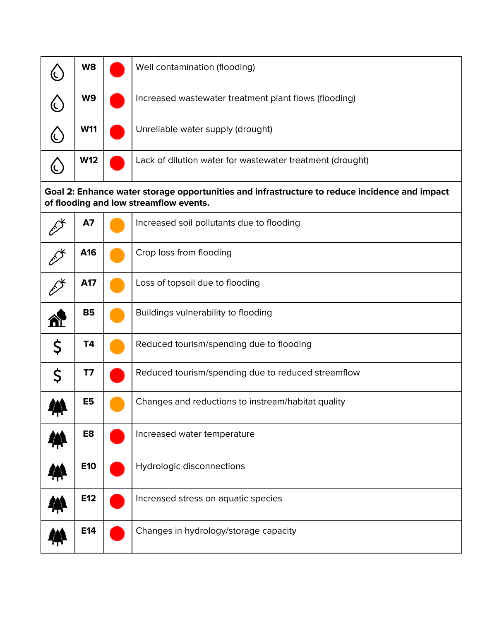| W8             | Well contamination (flooding)                                                                                                           |
|----------------|-----------------------------------------------------------------------------------------------------------------------------------------|
| W9             | Increased wastewater treatment plant flows (flooding)                                                                                   |
| <b>W11</b>     | Unreliable water supply (drought)                                                                                                       |
| <b>W12</b>     | Lack of dilution water for wastewater treatment (drought)                                                                               |
|                | Goal 2: Enhance water storage opportunities and infrastructure to reduce incidence and impact<br>of flooding and low streamflow events. |
| <b>A7</b>      | Increased soil pollutants due to flooding                                                                                               |
| A16            | Crop loss from flooding                                                                                                                 |
| A17            | Loss of topsoil due to flooding                                                                                                         |
| <b>B5</b>      | Buildings vulnerability to flooding                                                                                                     |
| \$<br>T4       | Reduced tourism/spending due to flooding                                                                                                |
| \$<br>T7       | Reduced tourism/spending due to reduced streamflow                                                                                      |
| E <sub>5</sub> | Changes and reductions to instream/habitat quality                                                                                      |
| E8             | Increased water temperature                                                                                                             |
| <b>E10</b>     | Hydrologic disconnections                                                                                                               |
| E12            | Increased stress on aquatic species                                                                                                     |
| E14            | Changes in hydrology/storage capacity                                                                                                   |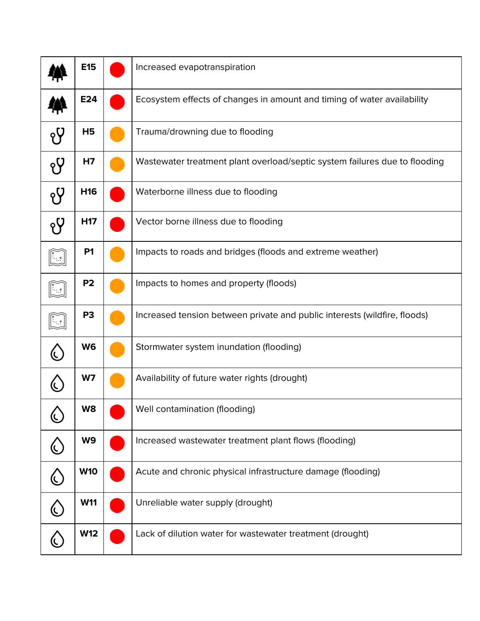|               | <b>E15</b>      | Increased evapotranspiration                                               |
|---------------|-----------------|----------------------------------------------------------------------------|
|               | E24             | Ecosystem effects of changes in amount and timing of water availability    |
| $\gamma$      | H <sub>5</sub>  | Trauma/drowning due to flooding                                            |
| ęΫ            | H7              | Wastewater treatment plant overload/septic system failures due to flooding |
| ęΫ            | H16             | Waterborne illness due to flooding                                         |
|               | H <sub>17</sub> | Vector borne illness due to flooding                                       |
|               | P <sub>1</sub>  | Impacts to roads and bridges (floods and extreme weather)                  |
|               | P <sub>2</sub>  | Impacts to homes and property (floods)                                     |
|               | P <sub>3</sub>  | Increased tension between private and public interests (wildfire, floods)  |
|               | W6              | Stormwater system inundation (flooding)                                    |
|               | W7              | Availability of future water rights (drought)                              |
|               | W8              | Well contamination (flooding)                                              |
|               | W9              | Increased wastewater treatment plant flows (flooding)                      |
|               | <b>W10</b>      | Acute and chronic physical infrastructure damage (flooding)                |
| $\mathcal{C}$ | <b>W11</b>      | Unreliable water supply (drought)                                          |
|               | <b>W12</b>      | Lack of dilution water for wastewater treatment (drought)                  |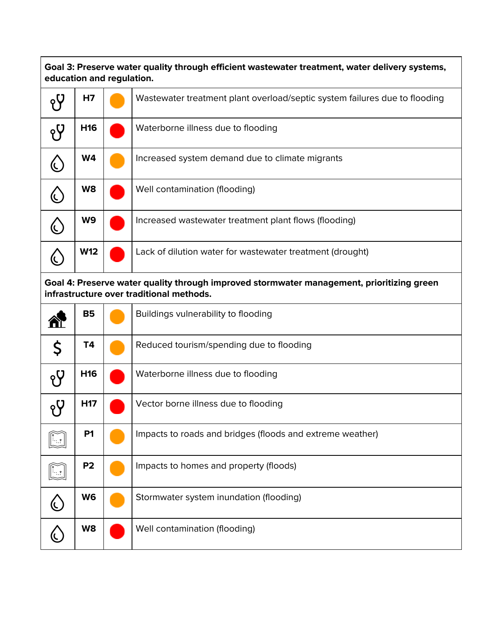**Goal 3: Preserve water quality through efficient wastewater treatment, water delivery systems, education and regulation.**

| H7              | Wastewater treatment plant overload/septic system failures due to flooding |
|-----------------|----------------------------------------------------------------------------|
| H <sub>16</sub> | Waterborne illness due to flooding                                         |
| W4              | Increased system demand due to climate migrants                            |
| W8              | Well contamination (flooding)                                              |
| W <sub>9</sub>  | Increased wastewater treatment plant flows (flooding)                      |
| <b>W12</b>      | Lack of dilution water for wastewater treatment (drought)                  |

**Goal 4: Preserve water quality through improved stormwater management, prioritizing green infrastructure over traditional methods.**

|             | <b>B5</b>       | Buildings vulnerability to flooding                       |
|-------------|-----------------|-----------------------------------------------------------|
| $\varsigma$ | T4              | Reduced tourism/spending due to flooding                  |
|             | H <sub>16</sub> | Waterborne illness due to flooding                        |
|             | H <sub>17</sub> | Vector borne illness due to flooding                      |
|             | P <sub>1</sub>  | Impacts to roads and bridges (floods and extreme weather) |
|             | P <sub>2</sub>  | Impacts to homes and property (floods)                    |
|             | W <sub>6</sub>  | Stormwater system inundation (flooding)                   |
|             | W8              | Well contamination (flooding)                             |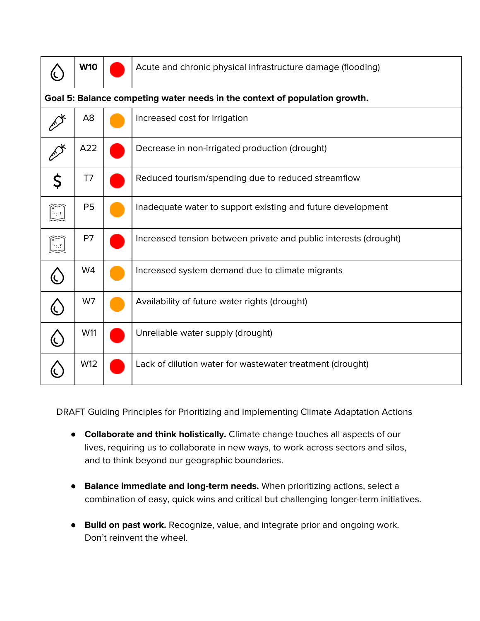|--|

Acute and chronic physical infrastructure damage (flooding)

| Goal 5: Balance competing water needs in the context of population growth. |  |                                                                  |  |  |
|----------------------------------------------------------------------------|--|------------------------------------------------------------------|--|--|
| A <sub>8</sub>                                                             |  | Increased cost for irrigation                                    |  |  |
| A22                                                                        |  | Decrease in non-irrigated production (drought)                   |  |  |
| T7                                                                         |  | Reduced tourism/spending due to reduced streamflow               |  |  |
| <b>P5</b>                                                                  |  | Inadequate water to support existing and future development      |  |  |
| P7                                                                         |  | Increased tension between private and public interests (drought) |  |  |
| W4                                                                         |  | Increased system demand due to climate migrants                  |  |  |
| W7                                                                         |  | Availability of future water rights (drought)                    |  |  |
| W11                                                                        |  | Unreliable water supply (drought)                                |  |  |
| W12                                                                        |  | Lack of dilution water for wastewater treatment (drought)        |  |  |

DRAFT Guiding Principles for Prioritizing and Implementing Climate Adaptation Actions

- **Collaborate and think holistically.** Climate change touches all aspects of our lives, requiring us to collaborate in new ways, to work across sectors and silos, and to think beyond our geographic boundaries.
- **Balance immediate and long-term needs.** When prioritizing actions, select a combination of easy, quick wins and critical but challenging longer-term initiatives.
- **Build on past work.** Recognize, value, and integrate prior and ongoing work. Don't reinvent the wheel.